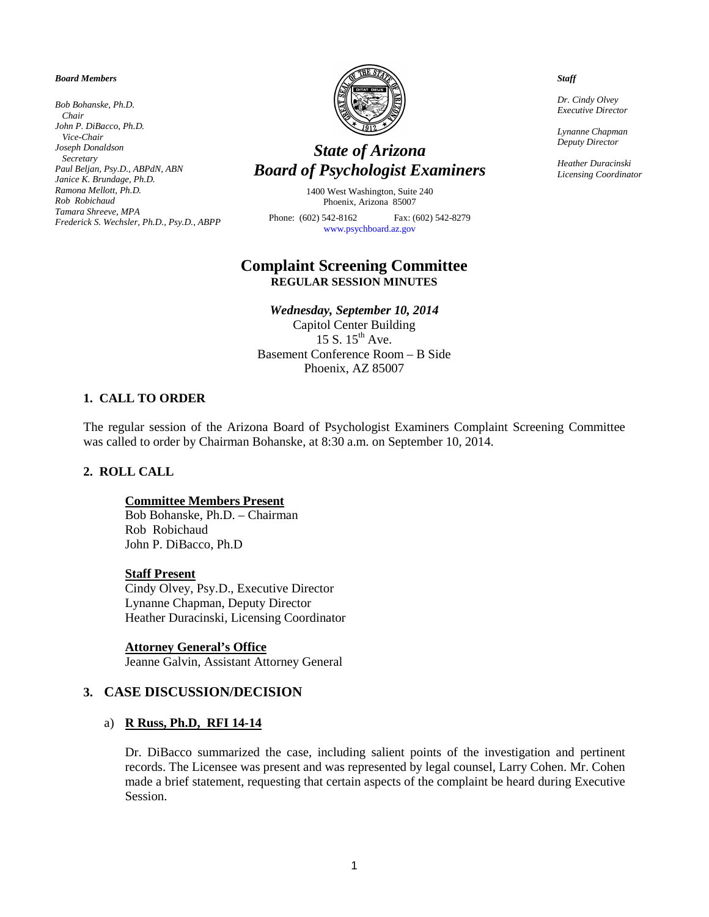#### *Board Members*

*Bob Bohanske, Ph.D. Chair John P. DiBacco, Ph.D. Vice-Chair Joseph Donaldson Secretary Paul Beljan, Psy.D., ABPdN, ABN Janice K. Brundage, Ph.D. Ramona Mellott, Ph.D. Rob Robichaud Tamara Shreeve, MPA Frederick S. Wechsler, Ph.D., Psy.D., ABPP* 



# *State of Arizona Board of Psychologist Examiners*

1400 West Washington, Suite 240 Phoenix, Arizona 85007

Phone: (602) 542-8162 Fax: (602) 542-8279 [www.psychboard.az.gov](http://www.psychboard.az.gov/) 

# **Complaint Screening Committee REGULAR SESSION MINUTES**

*Wednesday, September 10, 2014*

Capitol Center Building 15 S.  $15<sup>th</sup>$  Ave. Basement Conference Room – B Side Phoenix, AZ 85007

### **1. CALL TO ORDER**

The regular session of the Arizona Board of Psychologist Examiners Complaint Screening Committee was called to order by Chairman Bohanske, at 8:30 a.m. on September 10, 2014.

## **2. ROLL CALL**

#### **Committee Members Present**

Bob Bohanske, Ph.D. – Chairman Rob Robichaud John P. DiBacco, Ph.D

#### **Staff Present**

Cindy Olvey, Psy.D., Executive Director Lynanne Chapman, Deputy Director Heather Duracinski, Licensing Coordinator

#### **Attorney General's Office**

Jeanne Galvin, Assistant Attorney General

### **3. CASE DISCUSSION/DECISION**

## a) **R Russ, Ph.D, RFI 14-14**

Dr. DiBacco summarized the case, including salient points of the investigation and pertinent records. The Licensee was present and was represented by legal counsel, Larry Cohen. Mr. Cohen made a brief statement, requesting that certain aspects of the complaint be heard during Executive Session.

*Staff*

*Dr. Cindy Olvey Executive Director*

*Lynanne Chapman Deputy Director*

*Heather Duracinski Licensing Coordinator*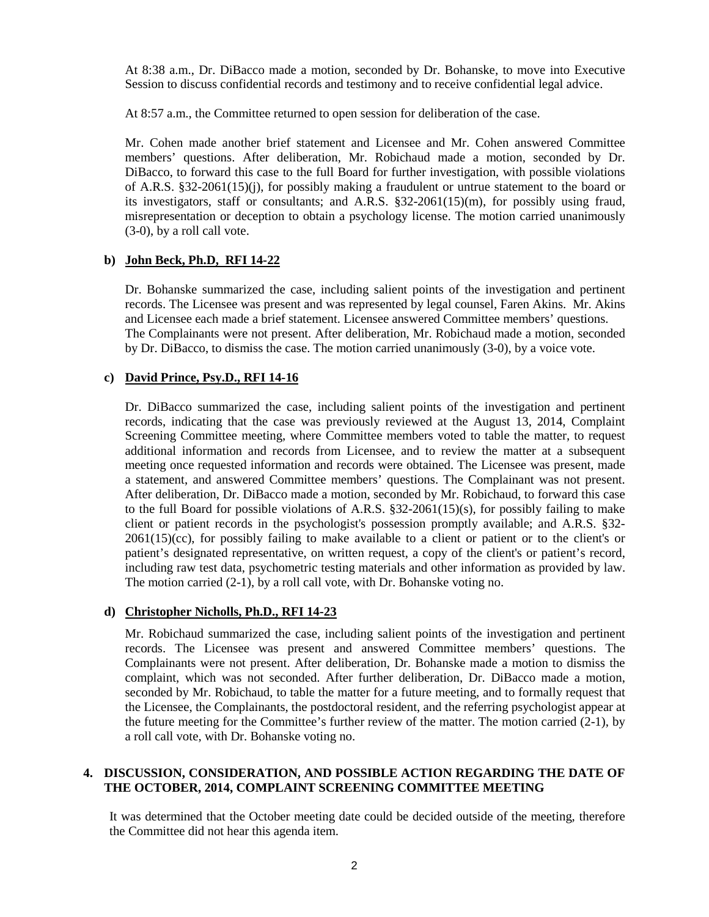At 8:38 a.m., Dr. DiBacco made a motion, seconded by Dr. Bohanske, to move into Executive Session to discuss confidential records and testimony and to receive confidential legal advice.

At 8:57 a.m., the Committee returned to open session for deliberation of the case.

Mr. Cohen made another brief statement and Licensee and Mr. Cohen answered Committee members' questions. After deliberation, Mr. Robichaud made a motion, seconded by Dr. DiBacco, to forward this case to the full Board for further investigation, with possible violations of A.R.S. §32-2061(15)(j), for possibly making a fraudulent or untrue statement to the board or its investigators, staff or consultants; and A.R.S. §32-2061(15)(m), for possibly using fraud, misrepresentation or deception to obtain a psychology license. The motion carried unanimously (3-0), by a roll call vote.

## **b) John Beck, Ph.D, RFI 14-22**

Dr. Bohanske summarized the case, including salient points of the investigation and pertinent records. The Licensee was present and was represented by legal counsel, Faren Akins. Mr. Akins and Licensee each made a brief statement. Licensee answered Committee members' questions. The Complainants were not present. After deliberation, Mr. Robichaud made a motion, seconded by Dr. DiBacco, to dismiss the case. The motion carried unanimously (3-0), by a voice vote.

## **c) David Prince, Psy.D., RFI 14-16**

Dr. DiBacco summarized the case, including salient points of the investigation and pertinent records, indicating that the case was previously reviewed at the August 13, 2014, Complaint Screening Committee meeting, where Committee members voted to table the matter, to request additional information and records from Licensee, and to review the matter at a subsequent meeting once requested information and records were obtained. The Licensee was present, made a statement, and answered Committee members' questions. The Complainant was not present. After deliberation, Dr. DiBacco made a motion, seconded by Mr. Robichaud, to forward this case to the full Board for possible violations of A.R.S. §32-2061(15)(s), for possibly failing to make client or patient records in the psychologist's possession promptly available; and A.R.S. §32-  $2061(15)(cc)$ , for possibly failing to make available to a client or patient or to the client's or patient's designated representative, on written request, a copy of the client's or patient's record, including raw test data, psychometric testing materials and other information as provided by law. The motion carried (2-1), by a roll call vote, with Dr. Bohanske voting no.

## **d) Christopher Nicholls, Ph.D., RFI 14-23**

Mr. Robichaud summarized the case, including salient points of the investigation and pertinent records. The Licensee was present and answered Committee members' questions. The Complainants were not present. After deliberation, Dr. Bohanske made a motion to dismiss the complaint, which was not seconded. After further deliberation, Dr. DiBacco made a motion, seconded by Mr. Robichaud, to table the matter for a future meeting, and to formally request that the Licensee, the Complainants, the postdoctoral resident, and the referring psychologist appear at the future meeting for the Committee's further review of the matter. The motion carried (2-1), by a roll call vote, with Dr. Bohanske voting no.

## **4. DISCUSSION, CONSIDERATION, AND POSSIBLE ACTION REGARDING THE DATE OF THE OCTOBER, 2014, COMPLAINT SCREENING COMMITTEE MEETING**

It was determined that the October meeting date could be decided outside of the meeting, therefore the Committee did not hear this agenda item.